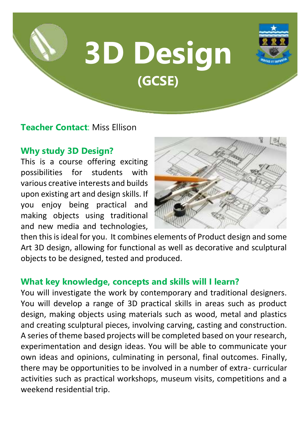# **3D Design (GCSE)**



**Teacher Contact**: Miss Ellison

# **Why study 3D Design?**

This is a course offering exciting possibilities for students with various creative interests and builds upon existing art and design skills. If you enjoy being practical and making objects using traditional and new media and technologies,



then this is ideal for you. It combines elements of Product design and some Art 3D design, allowing for functional as well as decorative and sculptural objects to be designed, tested and produced.

## **What key knowledge, concepts and skills will I learn?**

You will investigate the work by contemporary and traditional designers. You will develop a range of 3D practical skills in areas such as product design, making objects using materials such as wood, metal and plastics and creating sculptural pieces, involving carving, casting and construction. A series of theme based projects will be completed based on your research, experimentation and design ideas. You will be able to communicate your own ideas and opinions, culminating in personal, final outcomes. Finally, there may be opportunities to be involved in a number of extra- curricular activities such as practical workshops, museum visits, competitions and a weekend residential trip.